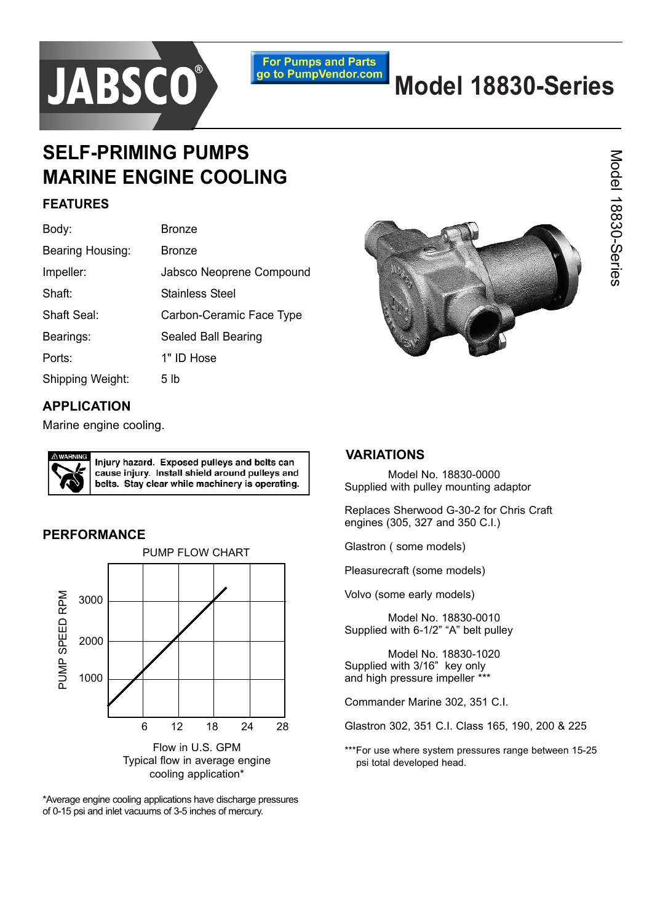

**For Pumps and Parts** go to PumpVendor.com

# **Model 18830-Series**

# **SELF-PRIMING PUMPS MARINE ENGINE COOLING**

### **FEATURES**

| Body:            | <b>Bronze</b>            |  |
|------------------|--------------------------|--|
| Bearing Housing: | <b>Bronze</b>            |  |
| Impeller:        | Jabsco Neoprene Compound |  |
| Shaft:           | Stainless Steel          |  |
| Shaft Seal:      | Carbon-Ceramic Face Type |  |
| Bearings:        | Sealed Ball Bearing      |  |
| Ports:           | 1" ID Hose               |  |
| Shipping Weight: | 5 lb                     |  |



## **APPLICATION**

Marine engine cooling.



Injury hazard. Exposed pulleys and belts can cause injury. Install shield around pulleys and belts. Stay clear while machinery is operating.

#### **PERFORMANCE**



\*Average engine cooling applications have discharge pressures of 0-15 psi and inlet vacuums of 3-5 inches of mercury.

### **VARIATIONS**

Model No. 18830-0000 Supplied with pulley mounting adaptor

Replaces Sherwood G-30-2 for Chris Craft engines (305, 327 and 350 C.I.)

Glastron ( some models)

Pleasurecraft (some models)

Volvo (some early models)

Model No. 18830-0010 Supplied with 6-1/2" "A" belt pulley

Model No. 18830-1020 Supplied with 3/16<sup>n</sup> key only and high pressure impeller \*\*\*

Commander Marine 302, 351 C.I.

Glastron 302, 351 C.I. Class 165, 190, 200 & 225

\*\*\*For use where system pressures range between 15-25 psi total developed head.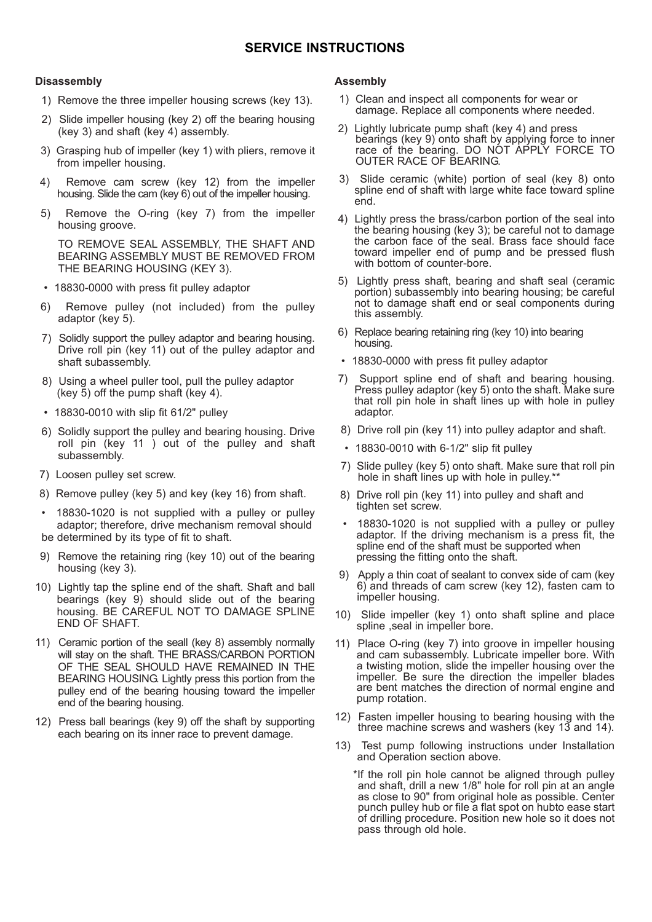#### **SERVICE INSTRUCTIONS**

#### **Disassembly**

- 1) Remove the three impeller housing screws (key 13).
- 2) Slide impeller housing (key 2) off the bearing housing (key 3) and shaft (key 4) assembly.
- 3) Grasping hub of impeller (key 1) with pliers, remove it from impeller housing.
- 4) Remove cam screw (key 12) from the impeller housing. Slide the cam (key 6) out of the impeller housing.
- 5) Remove the O-ring (key 7) from the impeller housing groove.

TO REMOVE SEAL ASSEMBLY, THE SHAFT AND BEARING ASSEMBLY MUST BE REMOVED FROM THE BEARING HOUSING (KEY 3).

- 18830-0000 with press fit pulley adaptor
- 6) Remove pulley (not included) from the pulley adaptor (key 5).
- 7) Solidly support the pulley adaptor and bearing housing. Drive roll pin (key 11) out of the pulley adaptor and shaft subassembly.
- 8) Using a wheel puller tool, pull the pulley adaptor (key 5) off the pump shaft (key 4).
- $\cdot$  18830-0010 with slip fit 61/2" pulley
- 6) Solidly support the pulley and bearing housing. Drive roll pin (key 11 ) out of the pulley and shaft subassembly.
- 7) Loosen pulley set screw.
- 8) Remove pulley (key 5) and key (key 16) from shaft.
- 18830-1020 is not supplied with a pulley or pulley adaptor; therefore, drive mechanism removal should be determined by its type of fit to shaft.
- 9) Remove the retaining ring (key 10) out of the bearing housing (key 3).
- 10) Lightly tap the spline end of the shaft. Shaft and ball bearings (key 9) should slide out of the bearing housing. BE CAREFUL NOT TO DAMAGE SPLINE END OF SHAFT.
- 11) Ceramic portion of the seall (key 8) assembly normally will stay on the shaft. THE BRASS/CARBON PORTION OF THE SEAL SHOULD HAVE REMAINED IN THE BEARING HOUSING. Lightly press this portion from the pulley end of the bearing housing toward the impeller end of the bearing housing.
- 12) Press ball bearings (key 9) off the shaft by supporting each bearing on its inner race to prevent damage.

#### **Assembly**

- 1) Clean and inspect all components for wear or damage. Replace all components where needed.
- 2) Lightly lubricate pump shaft (key 4) and press bearings (key 9) onto shaft by applying force to inner race of the bearing. DO NOT APPLY FORCE TO OUTER RACE OF BEARING.
- 3) Slide ceramic (white) portion of seal (key 8) onto spline end of shaft with large white face toward spline end.
- 4) Lightly press the brass/carbon portion of the seal into the bearing housing (key 3); be careful not to damage the carbon face of the seal. Brass face should face toward impeller end of pump and be pressed flush with bottom of counter-bore.
- 5) Lightly press shaft, bearing and shaft seal (ceramic portion) subassembly into bearing housing; be careful not to damage shaft end or seal components during this assembly.
- 6) Replace bearing retaining ring (key 10) into bearing housing.
- 18830-0000 with press fit pulley adaptor
- 7) Support spline end of shaft and bearing housing. Press pulley adaptor (key 5) onto the shaft. Make sure that roll pin hole in shaft lines up with hole in pulley adaptor.
- 8) Drive roll pin (key 11) into pulley adaptor and shaft.
- 18830-0010 with 6-1/2" slip fit pulley
- 7) Slide pulley (key 5) onto shaft. Make sure that roll pin hole in shaft lines up with hole in pulley.\*
- 8) Drive roll pin (key 11) into pulley and shaft and tighten set screw.
- 18830-1020 is not supplied with a pulley or pulley adaptor. If the driving mechanism is a press fit, the spline end of the shaft must be supported when pressing the fitting onto the shaft.
- 9) Apply a thin coat of sealant to convex side of cam (key 6) and threads of cam screw (key 12), fasten cam to impeller housing.
- 10) Slide impeller (key 1) onto shaft spline and place spline ,seal in impeller bore.
- 11) Place O-ring (key 7) into groove in impeller housing and cam subassembly. Lubricate impeller bore. With a twisting motion, slide the impeller housing over the impeller. Be sure the direction the impeller blades are bent matches the direction of normal engine and pump rotation.
- 12) Fasten impeller housing to bearing housing with the three machine screws and washers (key 13 and 14).
- 13) Test pump following instructions under Installation and Operation section above.
	- \*If the roll pin hole cannot be aligned through pulley and shaft, drill a new 1/8" hole for roll pin at an angle as close to 90" from original hole as possible. Center punch pulley hub or file a flat spot on hubto ease start of drilling procedure. Position new hole so it does not pass through old hole.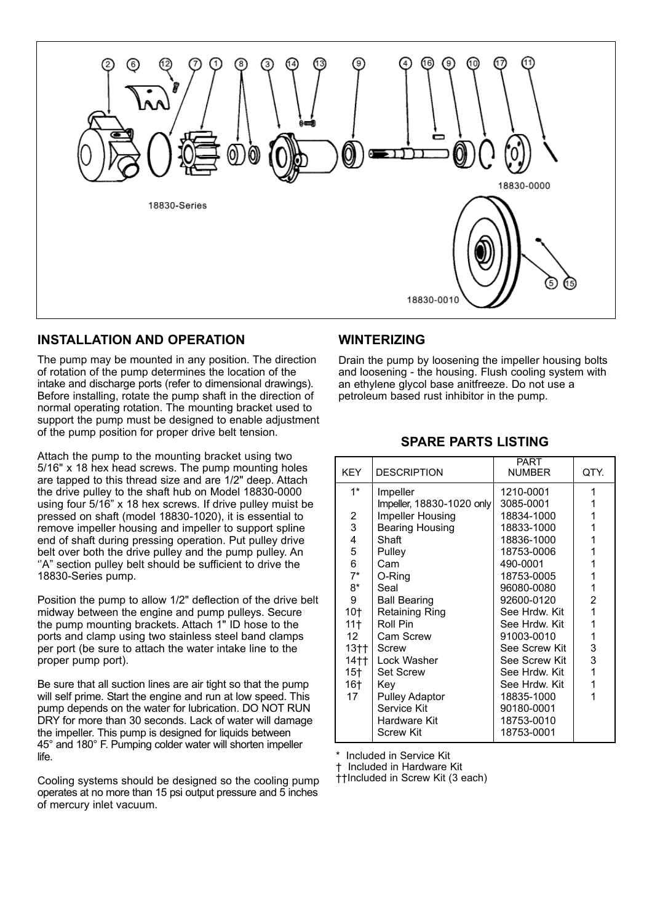

#### **INSTALLATION AND OPERATION**

The pump may be mounted in any position. The direction of rotation of the pump determines the location of the intake and discharge ports (refer to dimensional drawings). Before installing, rotate the pump shaft in the direction of normal operating rotation. The mounting bracket used to support the pump must be designed to enable adjustment of the pump position for proper drive belt tension.

Attach the pump to the mounting bracket using two 5/16" x 18 hex head screws. The pump mounting holes are tapped to this thread size and are 1/2" deep. Attach the drive pulley to the shaft hub on Model 18830-0000 using four 5/16" x 18 hex screws. If drive pulley muist be pressed on shaft (model 18830-1020), it is essential to remove impeller housing and impeller to support spline end of shaft during pressing operation. Put pulley drive belt over both the drive pulley and the pump pulley. An "A" section pulley belt should be sufficient to drive the 18830-Series pump.

Position the pump to allow 1/2" deflection of the drive belt midway between the engine and pump pulleys. Secure the pump mounting brackets. Attach 1" ID hose to the ports and clamp using two stainless steel band clamps per port (be sure to attach the water intake line to the proper pump port).

Be sure that all suction lines are air tight so that the pump will self prime. Start the engine and run at low speed. This pump depends on the water for lubrication. DO NOT RUN DRY for more than 30 seconds. Lack of water will damage the impeller. This pump is designed for liquids between 45° and 180° F. Pumping colder water will shorten impeller life.

Cooling systems should be designed so the cooling pump operates at no more than 15 psi output pressure and 5 inches of mercury inlet vacuum.

#### **WINTERIZING**

Drain the pump by loosening the impeller housing bolts and loosening - the housing. Flush cooling system with an ethylene glycol base anitfreeze. Do not use a petroleum based rust inhibitor in the pump.

#### **SPARE PARTS LISTING**

| <b>KEY</b>       | <b>DESCRIPTION</b>        | PART<br><b>NUMBER</b> | QTY.           |
|------------------|---------------------------|-----------------------|----------------|
| $1^*$            | Impeller                  | 1210-0001             | 1              |
|                  | Impeller, 18830-1020 only | 3085-0001             | 1              |
| 2                | Impeller Housing          | 18834-1000            | 1              |
| 3                | <b>Bearing Housing</b>    | 18833-1000            | 1              |
| 4                | Shaft                     | 18836-1000            | 1              |
| 5                | Pulley                    | 18753-0006            | 1              |
| 6                | Cam                       | 490-0001              | 1              |
| $7^*$            | O-Ring                    | 18753-0005            | 1              |
| 8*               | Seal                      | 96080-0080            | 1              |
| 9                | <b>Ball Bearing</b>       | 92600-0120            | 2              |
| 10†              | Retaining Ring            | See Hrdw. Kit         | 1              |
| 11†              | Roll Pin                  | See Hrdw. Kit         | 1              |
| 12 <sup>12</sup> | Cam Screw                 | 91003-0010            | 1              |
| $13+1$           | Screw                     | See Screw Kit         | 3              |
| 14††             | Lock Washer               | See Screw Kit         | 3              |
| 15†              | <b>Set Screw</b>          | See Hrdw. Kit         | $\overline{1}$ |
| 16†              | Kev                       | See Hrdw. Kit         | 1              |
| 17               | <b>Pulley Adaptor</b>     | 18835-1000            | 1              |
|                  | Service Kit               | 90180-0001            |                |
|                  | Hardware Kit              | 18753-0010            |                |
|                  | <b>Screw Kit</b>          | 18753-0001            |                |

Included in Service Kit

Ü Included in Hardware Kit

**i**tIncluded in Screw Kit (3 each)